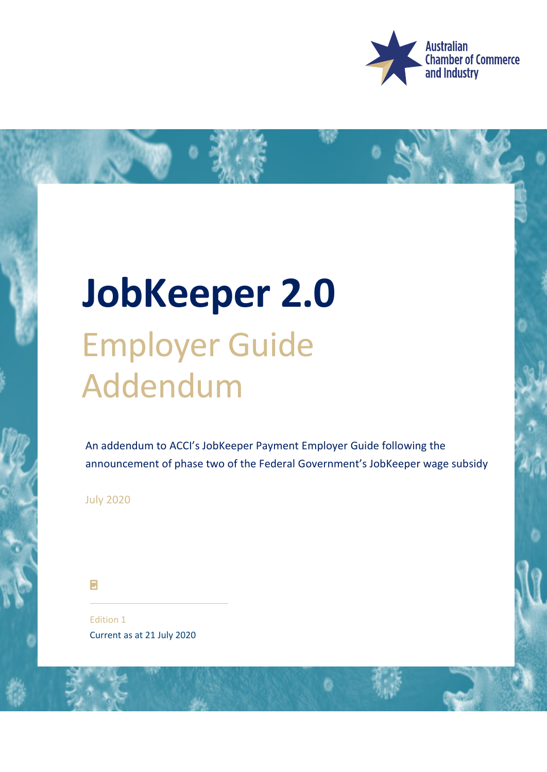

# **JobKeeper 2.0** Employer Guide Addendum

An addendum to ACCI's JobKeeper Payment Employer Guide following the announcement of phase two of the Federal Government's JobKeeper wage subsidy

July 2020

F

Edition 1 Current as at 21 July 2020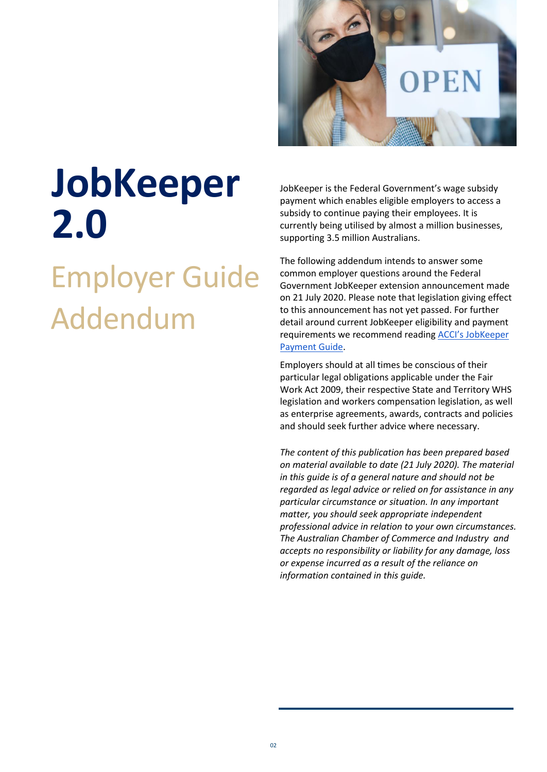

# **JobKeeper 2.0**

## Employer Guide Addendum

JobKeeper is the Federal Government's wage subsidy payment which enables eligible employers to access a subsidy to continue paying their employees. It is currently being utilised by almost a million businesses, supporting 3.5 million Australians.

The following addendum intends to answer some common employer questions around the Federal Government JobKeeper extension announcement made on 21 July 2020. Please note that legislation giving effect to this announcement has not yet passed. For further detail around current JobKeeper eligibility and payment requirements we recommend reading [ACCI's JobKeeper](https://australianchambercovid.com/downloads-2/)  [Payment Guide.](https://australianchambercovid.com/downloads-2/)

Employers should at all times be conscious of their particular legal obligations applicable under the Fair Work Act 2009, their respective State and Territory WHS legislation and workers compensation legislation, as well as enterprise agreements, awards, contracts and policies and should seek further advice where necessary.

*The content of this publication has been prepared based on material available to date (21 July 2020). The material in this guide is of a general nature and should not be regarded as legal advice or relied on for assistance in any particular circumstance or situation. In any important matter, you should seek appropriate independent professional advice in relation to your own circumstances. The Australian Chamber of Commerce and Industry and accepts no responsibility or liability for any damage, loss or expense incurred as a result of the reliance on information contained in this guide.*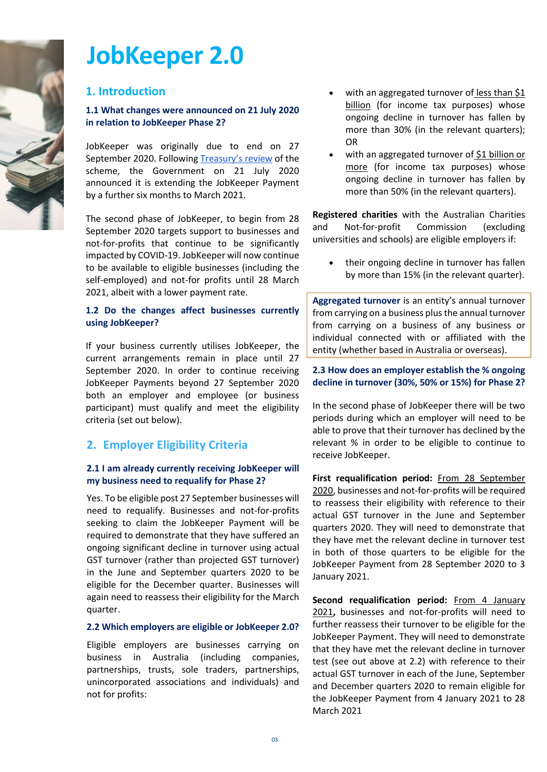

### **JobKeeper 2.0**

#### **1. Introduction**

#### **1.1 What changes were announced on 21 July 2020 in relation to JobKeeper Phase 2?**

JobKeeper was originally due to end on 27 September 2020. Following [Treasury's review](https://treasury.gov.au/publication/jobkeeper-review) of the scheme, the Government on 21 July 2020 announced it is extending the JobKeeper Payment by a further six months to March 2021.

The second phase of JobKeeper, to begin from 28 September 2020 targets support to businesses and not-for-profits that continue to be significantly impacted by COVID-19. JobKeeper will now continue to be available to eligible businesses (including the self-employed) and not-for profits until 28 March 2021, albeit with a lower payment rate.

#### **1.2 Do the changes affect businesses currently using JobKeeper?**

If your business currently utilises JobKeeper, the current arrangements remain in place until 27 September 2020. In order to continue receiving JobKeeper Payments beyond 27 September 2020 both an employer and employee (or business participant) must qualify and meet the eligibility criteria (set out below).

#### **2. Employer Eligibility Criteria**

#### **2.1 I am already currently receiving JobKeeper will my business need to requalify for Phase 2?**

Yes. To be eligible post 27 September businesses will need to requalify. Businesses and not-for-profits seeking to claim the JobKeeper Payment will be required to demonstrate that they have suffered an ongoing significant decline in turnover using actual GST turnover (rather than projected GST turnover) in the June and September quarters 2020 to be eligible for the December quarter. Businesses will again need to reassess their eligibility for the March quarter.

#### **2.2 Which employers are eligible or JobKeeper 2.0?**

Eligible employers are businesses carrying on business in Australia (including companies, partnerships, trusts, sole traders, partnerships, unincorporated associations and individuals) and not for profits:

- with an aggregated turnover of less than  $$1$ billion (for income tax purposes) whose ongoing decline in turnover has fallen by more than 30% (in the relevant quarters); OR
- with an aggregated turnover of \$1 billion or more (for income tax purposes) whose ongoing decline in turnover has fallen by more than 50% (in the relevant quarters).

**Registered charities** with the Australian Charities and Not-for-profit Commission (excluding universities and schools) are eligible employers if:

their ongoing decline in turnover has fallen by more than 15% (in the relevant quarter).

**Aggregated turnover** is an entity's annual turnover from carrying on a business plus the annual turnover from carrying on a business of any business or individual connected with or affiliated with the entity (whether based in Australia or overseas).

#### **2.3 How does an employer establish the % ongoing decline in turnover (30%, 50% or 15%) for Phase 2?**

In the second phase of JobKeeper there will be two periods during which an employer will need to be able to prove that their turnover has declined by the relevant % in order to be eligible to continue to receive JobKeeper.

**First requalification period:** From 28 September 2020, businesses and not-for-profits will be required to reassess their eligibility with reference to their actual GST turnover in the June and September quarters 2020. They will need to demonstrate that they have met the relevant decline in turnover test in both of those quarters to be eligible for the JobKeeper Payment from 28 September 2020 to 3 January 2021.

**Second requalification period:** From 4 January 2021**,** businesses and not-for-profits will need to further reassess their turnover to be eligible for the JobKeeper Payment. They will need to demonstrate that they have met the relevant decline in turnover test (see out above at 2.2) with reference to their actual GST turnover in each of the June, September and December quarters 2020 to remain eligible for the JobKeeper Payment from 4 January 2021 to 28 March 2021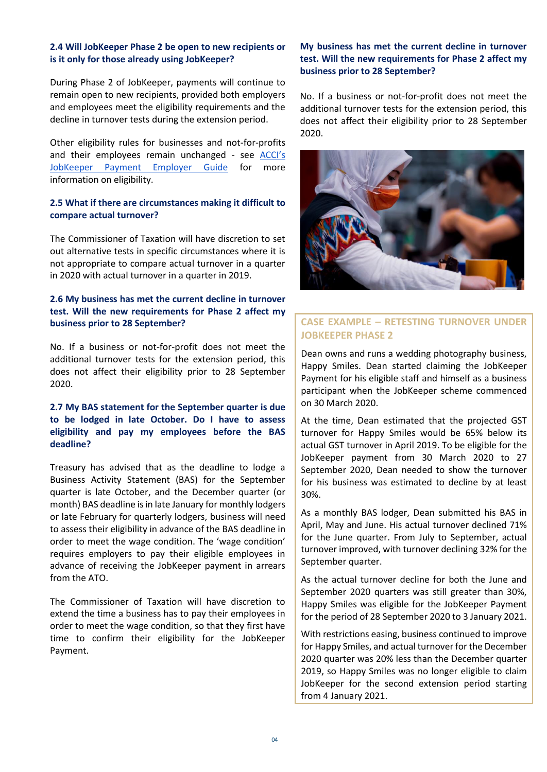#### **2.4 Will JobKeeper Phase 2 be open to new recipients or is it only for those already using JobKeeper?**

During Phase 2 of JobKeeper, payments will continue to remain open to new recipients, provided both employers and employees meet the eligibility requirements and the decline in turnover tests during the extension period.

Other eligibility rules for businesses and not-for-profits and their employees remain unchanged - see [ACCI's](https://australianchambercovid.com/downloads-2/)  [JobKeeper Payment Employer Guide](https://australianchambercovid.com/downloads-2/) for more information on eligibility.

#### **2.5 What if there are circumstances making it difficult to compare actual turnover?**

The Commissioner of Taxation will have discretion to set out alternative tests in specific circumstances where it is not appropriate to compare actual turnover in a quarter in 2020 with actual turnover in a quarter in 2019.

#### **2.6 My business has met the current decline in turnover test. Will the new requirements for Phase 2 affect my business prior to 28 September?**

No. If a business or not-for-profit does not meet the additional turnover tests for the extension period, this does not affect their eligibility prior to 28 September 2020.

#### **2.7 My BAS statement for the September quarter is due to be lodged in late October. Do I have to assess eligibility and pay my employees before the BAS deadline?**

Treasury has advised that as the deadline to lodge a Business Activity Statement (BAS) for the September quarter is late October, and the December quarter (or month) BAS deadline is in late January for monthly lodgers or late February for quarterly lodgers, business will need to assess their eligibility in advance of the BAS deadline in order to meet the wage condition. The 'wage condition' requires employers to pay their eligible employees in advance of receiving the JobKeeper payment in arrears from the ATO.

The Commissioner of Taxation will have discretion to extend the time a business has to pay their employees in order to meet the wage condition, so that they first have time to confirm their eligibility for the JobKeeper Payment.

#### **My business has met the current decline in turnover test. Will the new requirements for Phase 2 affect my business prior to 28 September?**

No. If a business or not-for-profit does not meet the additional turnover tests for the extension period, this does not affect their eligibility prior to 28 September 2020.



#### **CASE EXAMPLE – RETESTING TURNOVER UNDER JOBKEEPER PHASE 2**

Dean owns and runs a wedding photography business, Happy Smiles. Dean started claiming the JobKeeper Payment for his eligible staff and himself as a business participant when the JobKeeper scheme commenced on 30 March 2020.

At the time, Dean estimated that the projected GST turnover for Happy Smiles would be 65% below its actual GST turnover in April 2019. To be eligible for the JobKeeper payment from 30 March 2020 to 27 September 2020, Dean needed to show the turnover for his business was estimated to decline by at least 30%.

As a monthly BAS lodger, Dean submitted his BAS in April, May and June. His actual turnover declined 71% for the June quarter. From July to September, actual turnover improved, with turnover declining 32% for the September quarter.

As the actual turnover decline for both the June and September 2020 quarters was still greater than 30%, Happy Smiles was eligible for the JobKeeper Payment for the period of 28 September 2020 to 3 January 2021.

With restrictions easing, business continued to improve for Happy Smiles, and actual turnover for the December 2020 quarter was 20% less than the December quarter 2019, so Happy Smiles was no longer eligible to claim JobKeeper for the second extension period starting from 4 January 2021.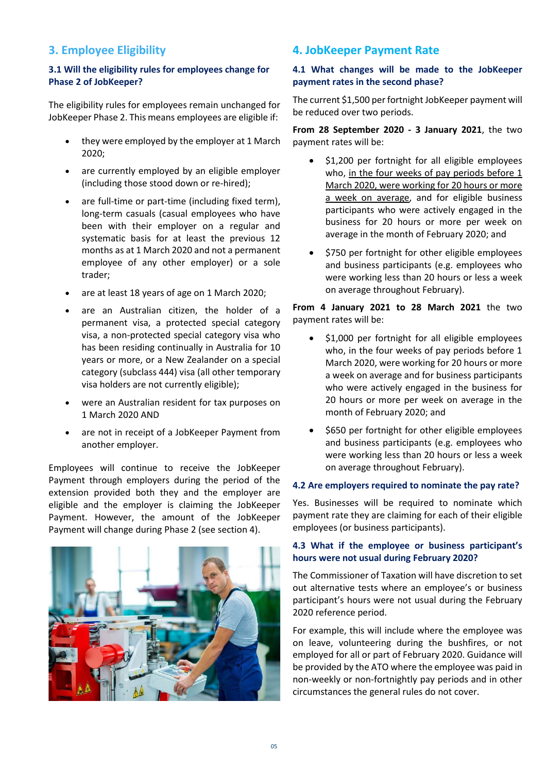#### **3. Employee Eligibility**

#### **3.1 Will the eligibility rules for employees change for Phase 2 of JobKeeper?**

The eligibility rules for employees remain unchanged for JobKeeper Phase 2. This means employees are eligible if:

- they were employed by the employer at 1 March 2020;
- are currently employed by an eligible employer (including those stood down or re-hired);
- are full-time or part-time (including fixed term), long-term casuals (casual employees who have been with their employer on a regular and systematic basis for at least the previous 12 months as at 1 March 2020 and not a permanent employee of any other employer) or a sole trader;
- are at least 18 years of age on 1 March 2020;
- are an Australian citizen, the holder of a permanent visa, a protected special category visa, a non-protected special category visa who has been residing continually in Australia for 10 years or more, or a New Zealander on a special category (subclass 444) visa (all other temporary visa holders are not currently eligible);
- were an Australian resident for tax purposes on 1 March 2020 AND
- are not in receipt of a JobKeeper Payment from another employer.

Employees will continue to receive the JobKeeper Payment through employers during the period of the extension provided both they and the employer are eligible and the employer is claiming the JobKeeper Payment. However, the amount of the JobKeeper Payment will change during Phase 2 (see section 4).



#### **4. JobKeeper Payment Rate**

#### **4.1 What changes will be made to the JobKeeper payment rates in the second phase?**

The current \$1,500 perfortnight JobKeeper payment will be reduced over two periods.

**From 28 September 2020 - 3 January 2021**, the two payment rates will be:

- \$1,200 per fortnight for all eligible employees who, in the four weeks of pay periods before 1 March 2020, were working for 20 hours or more a week on average, and for eligible business participants who were actively engaged in the business for 20 hours or more per week on average in the month of February 2020; and
- \$750 per fortnight for other eligible employees and business participants (e.g. employees who were working less than 20 hours or less a week on average throughout February).

**From 4 January 2021 to 28 March 2021** the two payment rates will be:

- \$1,000 per fortnight for all eligible employees who, in the four weeks of pay periods before 1 March 2020, were working for 20 hours or more a week on average and for business participants who were actively engaged in the business for 20 hours or more per week on average in the month of February 2020; and
- \$650 per fortnight for other eligible employees and business participants (e.g. employees who were working less than 20 hours or less a week on average throughout February).

#### **4.2 Are employers required to nominate the pay rate?**

Yes. Businesses will be required to nominate which payment rate they are claiming for each of their eligible employees (or business participants).

#### **4.3 What if the employee or business participant's hours were not usual during February 2020?**

The Commissioner of Taxation will have discretion to set out alternative tests where an employee's or business participant's hours were not usual during the February 2020 reference period.

For example, this will include where the employee was on leave, volunteering during the bushfires, or not employed for all or part of February 2020. Guidance will be provided by the ATO where the employee was paid in non-weekly or non-fortnightly pay periods and in other circumstances the general rules do not cover.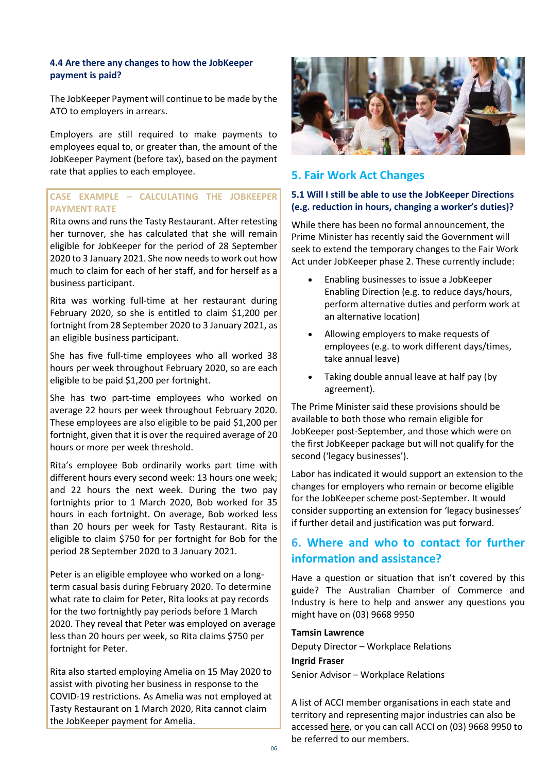#### **4.4 Are there any changes to how the JobKeeper payment is paid?**

The JobKeeper Payment will continue to be made by the ATO to employers in arrears.

Employers are still required to make payments to employees equal to, or greater than, the amount of the JobKeeper Payment (before tax), based on the payment rate that applies to each employee.

#### **CASE EXAMPLE – CALCULATING THE JOBKEEPER PAYMENT RATE**

Rita owns and runs the Tasty Restaurant. After retesting her turnover, she has calculated that she will remain eligible for JobKeeper for the period of 28 September 2020 to 3 January 2021. She now needsto work out how much to claim for each of her staff, and for herself as a business participant.

Rita was working full-time at her restaurant during February 2020, so she is entitled to claim \$1,200 per fortnight from 28 September 2020 to 3 January 2021, as an eligible business participant.

She has five full-time employees who all worked 38 hours per week throughout February 2020, so are each eligible to be paid \$1,200 per fortnight.

She has two part-time employees who worked on average 22 hours per week throughout February 2020. These employees are also eligible to be paid \$1,200 per fortnight, given that it is over the required average of 20 hours or more per week threshold.

Rita's employee Bob ordinarily works part time with different hours every second week: 13 hours one week; and 22 hours the next week. During the two pay fortnights prior to 1 March 2020, Bob worked for 35 hours in each fortnight. On average, Bob worked less than 20 hours per week for Tasty Restaurant. Rita is eligible to claim \$750 for per fortnight for Bob for the period 28 September 2020 to 3 January 2021.

Peter is an eligible employee who worked on a longterm casual basis during February 2020. To determine what rate to claim for Peter, Rita looks at pay records for the two fortnightly pay periods before 1 March 2020. They reveal that Peter was employed on average less than 20 hours per week, so Rita claims \$750 per fortnight for Peter.

Rita also started employing Amelia on 15 May 2020 to assist with pivoting her business in response to the COVID-19 restrictions. As Amelia was not employed at Tasty Restaurant on 1 March 2020, Rita cannot claim the JobKeeper payment for Amelia.



#### **5. Fair Work Act Changes**

#### **5.1 Will I still be able to use the JobKeeper Directions (e.g. reduction in hours, changing a worker's duties)?**

While there has been no formal announcement, the Prime Minister has recently said the Government will seek to extend the temporary changes to the Fair Work Act under JobKeeper phase 2. These currently include:

- Enabling businesses to issue a JobKeeper Enabling Direction (e.g. to reduce days/hours, perform alternative duties and perform work at an alternative location)
- Allowing employers to make requests of employees (e.g. to work different days/times, take annual leave)
- Taking double annual leave at half pay (by agreement).

The Prime Minister said these provisions should be available to both those who remain eligible for JobKeeper post-September, and those which were on the first JobKeeper package but will not qualify for the second ('legacy businesses').

Labor has indicated it would support an extension to the changes for employers who remain or become eligible for the JobKeeper scheme post-September. It would consider supporting an extension for 'legacy businesses' if further detail and justification was put forward.

#### **6. Where and who to contact for further information and assistance?**

Have a question or situation that isn't covered by this guide? The Australian Chamber of Commerce and Industry is here to help and answer any questions you might have on (03) 9668 9950

#### **Tamsin Lawrence**

Deputy Director – Workplace Relations **Ingrid Fraser** Senior Advisor – Workplace Relations

A list of ACCI member organisations in each state and territory and representing major industries can also be accessed [here,](https://www.australianchamber.com.au/membership/current-members/) or you can call ACCI on (03) 9668 9950 to be referred to our members.